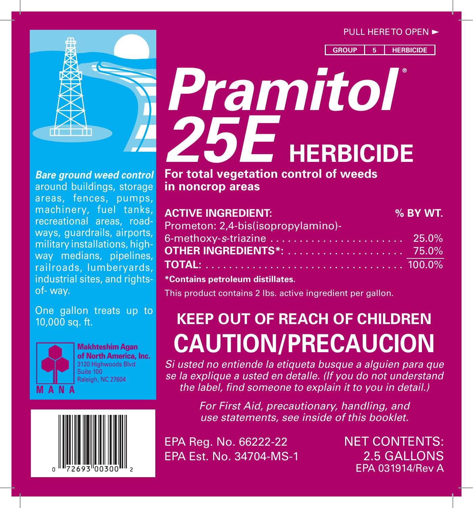#### $PULL$  HERE TO OPEN  $\blacktriangleright$

**GROUP 5 HERBICIDE**



around buildings, storage *Bare ground weed control*  areas, fences, pumps, machinery, fuel tanks, recreational areas, roadways, guardrails, airports, military installations, highway medians, pipelines, railroads, lumberyards, industrial sites, and rightsof- way.

One gallon treats up to 10,000 sq. ft.



Makhteshim Agan of North America, Inc. 3120 Highwoods Blvd Suite 100 Raleigh, NC 27604



# *Pramitol* **®** *25E* **HERBICIDE**

**For total vegetation control of weeds in noncrop areas**

| <b>ACTIVE INGREDIENT:</b>          | % BY WT. |
|------------------------------------|----------|
| Prometon: 2,4-bis(isopropylamino)- |          |
|                                    |          |
|                                    |          |
|                                    |          |

**\*Contains petroleum distillates.**

This product contains 2 lbs. active ingredient per gallon.

# **KEEP OUT OF REACH OF CHILDREN CAUTION/PRECAUCION**

*Si usted no entiende la etiqueta busque a alguien para que se la explique a usted en detalle. (If you do not understand the label, find someone to explain it to you in detail.)*

> *For First Aid, precautionary, handling, and use statements, see inside of this booklet.*

EPA Reg. No. 66222-22 NET CONTENTS: EPA Est. No. 34704-MS-1 2.5 GALLONS

EPA 031914/Rev A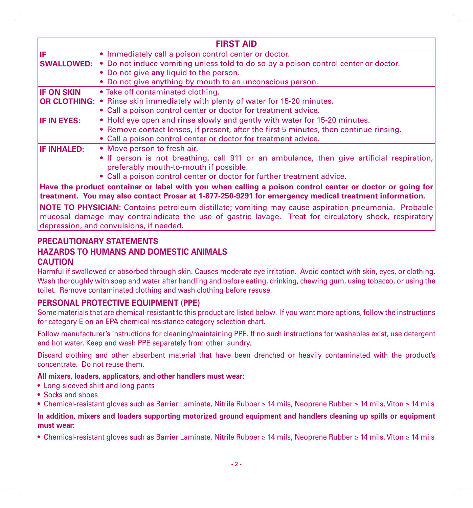| <b>FIRST AID</b>                                                                                         |                                                                                            |  |
|----------------------------------------------------------------------------------------------------------|--------------------------------------------------------------------------------------------|--|
| liF                                                                                                      | • Immediately call a poison control center or doctor.                                      |  |
| <b>SWALLOWED:</b>                                                                                        | • Do not induce vomiting unless told to do so by a poison control center or doctor.        |  |
|                                                                                                          | • Do not give any liquid to the person.                                                    |  |
|                                                                                                          | • Do not give anything by mouth to an unconscious person.                                  |  |
| <b>IF ON SKIN</b>                                                                                        | • Take off contaminated clothing.                                                          |  |
|                                                                                                          | <b>OR CLOTHING:</b> $\cdot$ Rinse skin immediately with plenty of water for 15-20 minutes. |  |
|                                                                                                          | • Call a poison control center or doctor for treatment advice.                             |  |
| <b>IF IN EYES:</b>                                                                                       | . Hold eye open and rinse slowly and gently with water for 15-20 minutes.                  |  |
|                                                                                                          | • Remove contact lenses, if present, after the first 5 minutes, then continue rinsing.     |  |
|                                                                                                          | • Call a poison control center or doctor for treatment advice.                             |  |
| <b>IF INHALED:</b>                                                                                       | • Move person to fresh air.                                                                |  |
|                                                                                                          | • If person is not breathing, call 911 or an ambulance, then give artificial respiration,  |  |
|                                                                                                          | preferably mouth-to-mouth if possible.                                                     |  |
|                                                                                                          | • Call a poison control center or doctor for further treatment advice.                     |  |
| Have the product container or label with you when calling a poison control center or doctor or going for |                                                                                            |  |

**treatment. You may also contact Prosar at 1-877-250-9291 for emergency medical treatment information.**

**NOTE TO PHYSICIAN:** Contains petroleum distillate; vomiting may cause aspiration pneumonia. Probable mucosal damage may contraindicate the use of gastric lavage. Treat for circulatory shock, respiratory depression, and convulsions, if needed.

#### **PRECAUTIONARY STATEMENTS Hazards to Humans and Domestic Animals CAUTION**

Harmful if swallowed or absorbed through skin. Causes moderate eye irritation. Avoid contact with skin, eyes, or clothing. Wash thoroughly with soap and water after handling and before eating, drinking, chewing gum, using tobacco, or using the toilet. Remove contaminated clothing and wash clothing before resuse.

#### **PERSONAL PROTECTIVE EQUIPMENT (PPE)**

Some materials that are chemical-resistant to this product are listed below. If you want more options, follow the instructions for category E on an EPA chemical resistance category selection chart.

Follow manufacturer's instructions for cleaning/maintaining PPE. If no such instructions for washables exist, use detergent and hot water. Keep and wash PPE separately from other laundry.

Discard clothing and other absorbent material that have been drenched or heavily contaminated with the product's concentrate. Do not reuse them.

#### **All mixers, loaders, applicators, and other handlers must wear:**

- Long-sleeved shirt and long pants
- Socks and shoes
- Chemical-resistant gloves such as Barrier Laminate, Nitrile Rubber ≥ 14 mils, Neoprene Rubber ≥ 14 mils, Viton ≥ 14 mils

#### **In addition, mixers and loaders supporting motorized ground equipment and handlers cleaning up spills or equipment must wear:**

• Chemical-resistant gloves such as Barrier Laminate, Nitrile Rubber ≥ 14 mils, Neoprene Rubber ≥ 14 mils, Viton ≥ 14 mils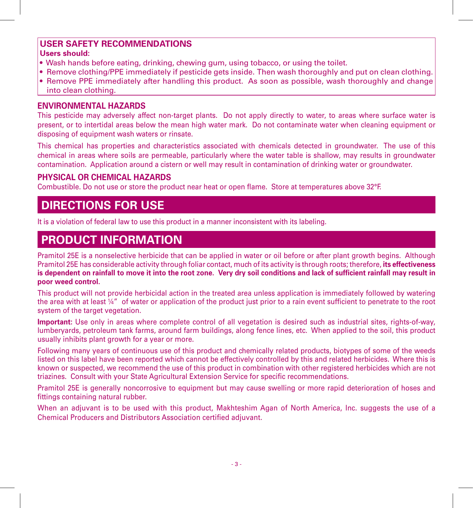#### **User Safety Recommendations**

#### **Users should:**

- Wash hands before eating, drinking, chewing gum, using tobacco, or using the toilet.
- Remove clothing/PPE immediately if pesticide gets inside. Then wash thoroughly and put on clean clothing.
- Remove PPE immediately after handling this product. As soon as possible, wash thoroughly and change into clean clothing.

#### **Environmental Hazards**

This pesticide may adversely affect non-target plants. Do not apply directly to water, to areas where surface water is present, or to intertidal areas below the mean high water mark. Do not contaminate water when cleaning equipment or disposing of equipment wash waters or rinsate.

This chemical has properties and characteristics associated with chemicals detected in groundwater. The use of this chemical in areas where soils are permeable, particularly where the water table is shallow, may results in groundwater contamination. Application around a cistern or well may result in contamination of drinking water or groundwater.

#### **Physical or Chemical Hazards**

Combustible. Do not use or store the product near heat or open flame. Store at temperatures above 32°F.

# **DIRECTIONS FOR USE**

It is a violation of federal law to use this product in a manner inconsistent with its labeling.

### **PRODUCT INFORMATION**

Pramitol 25E is a nonselective herbicide that can be applied in water or oil before or after plant growth begins. Although Pramitol 25E has considerable activity through foliar contact, much of its activity is through roots; therefore, **its effectiveness is dependent on rainfall to move it into the root zone. Very dry soil conditions and lack of sufficient rainfall may result in poor weed control.**

This product will not provide herbicidal action in the treated area unless application is immediately followed by watering the area with at least ¼" of water or application of the product just prior to a rain event sufficient to penetrate to the root system of the target vegetation.

**Important:** Use only in areas where complete control of all vegetation is desired such as industrial sites, rights-of-way, lumberyards, petroleum tank farms, around farm buildings, along fence lines, etc. When applied to the soil, this product usually inhibits plant growth for a year or more.

Following many years of continuous use of this product and chemically related products, biotypes of some of the weeds listed on this label have been reported which cannot be effectively controlled by this and related herbicides. Where this is known or suspected, we recommend the use of this product in combination with other registered herbicides which are not triazines. Consult with your State Agricultural Extension Service for specific recommendations.

Pramitol 25E is generally noncorrosive to equipment but may cause swelling or more rapid deterioration of hoses and fittings containing natural rubber.

When an adjuvant is to be used with this product, Makhteshim Agan of North America, Inc. suggests the use of a Chemical Producers and Distributors Association certified adjuvant.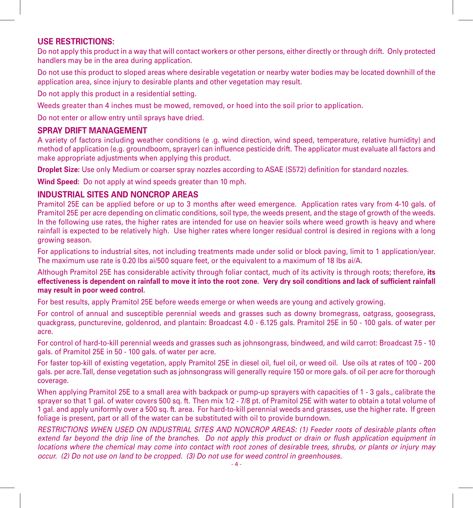#### **USE RESTRICTIONS:**

Do not apply this product in a way that will contact workers or other persons, either directly or through drift. Only protected handlers may be in the area during application.

Do not use this product to sloped areas where desirable vegetation or nearby water bodies may be located downhill of the application area, since injury to desirable plants and other vegetation may result.

Do not apply this product in a residential setting.

Weeds greater than 4 inches must be mowed, removed, or hoed into the soil prior to application.

Do not enter or allow entry until sprays have dried.

#### **SPRAY DRIFT MANAGEMENT**

A variety of factors including weather conditions (e .g. wind direction, wind speed, temperature, relative humidity) and method of application (e.g. groundboom, sprayer) can influence pesticide drift. The applicator must evaluate all factors and make appropriate adjustments when applying this product.

**Droplet Size:** Use only Medium or coarser spray nozzles according to ASAE (S572) definition for standard nozzles.

**Wind Speed:** Do not apply at wind speeds greater than 10 mph.

#### **Industrial Sites and Noncrop Areas**

Pramitol 25E can be applied before or up to 3 months after weed emergence. Application rates vary from 4-10 gals. of Pramitol 25E per acre depending on climatic conditions, soil type, the weeds present, and the stage of growth of the weeds. In the following use rates, the higher rates are intended for use on heavier soils where weed growth is heavy and where rainfall is expected to be relatively high. Use higher rates where longer residual control is desired in regions with a long growing season.

For applications to industrial sites, not including treatments made under solid or block paving, limit to 1 application/year. The maximum use rate is 0.20 lbs ai/500 square feet, or the equivalent to a maximum of 18 lbs ai/A.

Although Pramitol 25E has considerable activity through foliar contact, much of its activity is through roots; therefore, **its effectiveness is dependent on rainfall to move it into the root zone. Very dry soil conditions and lack of sufficient rainfall may result in poor weed control.**

For best results, apply Pramitol 25E before weeds emerge or when weeds are young and actively growing.

For control of annual and susceptible perennial weeds and grasses such as downy bromegrass, oatgrass, goosegrass, quackgrass, puncturevine, goldenrod, and plantain: Broadcast 4.0 - 6.125 gals. Pramitol 25E in 50 - 100 gals. of water per acre.

For control of hard-to-kill perennial weeds and grasses such as johnsongrass, bindweed, and wild carrot: Broadcast 7.5 - 10 gals. of Pramitol 25E in 50 - 100 gals. of water per acre.

For faster top-kill of existing vegetation, apply Pramitol 25E in diesel oil, fuel oil, or weed oil. Use oils at rates of 100 - 200 gals. per acre. Tall, dense vegetation such as johnsongrass will generally require 150 or more gals. of oil per acre for thorough coverage.

When applying Pramitol 25E to a small area with backpack or pump-up sprayers with capacities of 1 - 3 gals., calibrate the sprayer so that 1 gal. of water covers 500 sq. ft. Then mix 1/2 - 7/8 pt. of Pramitol 25E with water to obtain a total volume of 1 gal. and apply uniformly over a 500 sq. ft. area. For hard-to-kill perennial weeds and grasses, use the higher rate. If green foliage is present, part or all of the water can be substituted with oil to provide burndown.

*RESTRICTIONS when used on industrial sites and Noncrop areas: (1) Feeder roots of desirable plants often extend far beyond the drip line of the branches. Do not apply this product or drain or flush application equipment in locations where the chemical may come into contact with root zones of desirable trees, shrubs, or plants or injury may occur. (2) Do not use on land to be cropped. (3) Do not use for weed control in greenhouses.*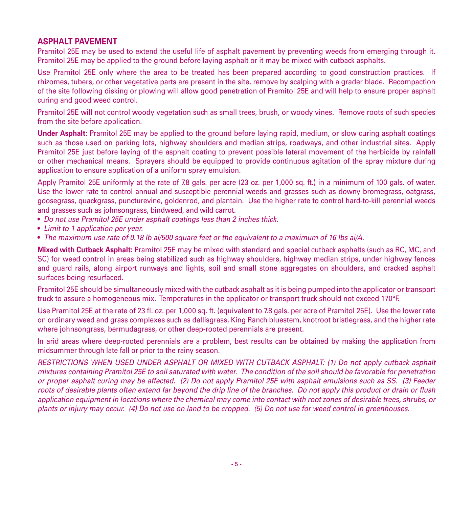#### **Asphalt Pavement**

Pramitol 25E may be used to extend the useful life of asphalt pavement by preventing weeds from emerging through it. Pramitol 25E may be applied to the ground before laying asphalt or it may be mixed with cutback asphalts.

Use Pramitol 25E only where the area to be treated has been prepared according to good construction practices. If rhizomes, tubers, or other vegetative parts are present in the site, remove by scalping with a grader blade. Recompaction of the site following disking or plowing will allow good penetration of Pramitol 25E and will help to ensure proper asphalt curing and good weed control.

Pramitol 25E will not control woody vegetation such as small trees, brush, or woody vines. Remove roots of such species from the site before application.

**Under Asphalt:** Pramitol 25E may be applied to the ground before laying rapid, medium, or slow curing asphalt coatings such as those used on parking lots, highway shoulders and median strips, roadways, and other industrial sites. Apply Pramitol 25E just before laying of the asphalt coating to prevent possible lateral movement of the herbicide by rainfall or other mechanical means. Sprayers should be equipped to provide continuous agitation of the spray mixture during application to ensure application of a uniform spray emulsion.

Apply Pramitol 25E uniformly at the rate of 7.8 gals. per acre (23 oz. per 1,000 sq. ft.) in a minimum of 100 gals. of water. Use the lower rate to control annual and susceptible perennial weeds and grasses such as downy bromegrass, oatgrass, goosegrass, quackgrass, puncturevine, goldenrod, and plantain. Use the higher rate to control hard-to-kill perennial weeds and grasses such as johnsongrass, bindweed, and wild carrot.

- *Do not use Pramitol 25E under asphalt coatings less than 2 inches thick.*
- *Limit to 1 application per year.*
- *The maximum use rate of 0.18 lb ai/500 square feet or the equivalent to a maximum of 16 lbs ai/A.*

**Mixed with Cutback Asphalt:** Pramitol 25E may be mixed with standard and special cutback asphalts (such as RC, MC, and SC) for weed control in areas being stabilized such as highway shoulders, highway median strips, under highway fences and guard rails, along airport runways and lights, soil and small stone aggregates on shoulders, and cracked asphalt surfaces being resurfaced.

Pramitol 25E should be simultaneously mixed with the cutback asphalt as it is being pumped into the applicator or transport truck to assure a homogeneous mix. Temperatures in the applicator or transport truck should not exceed 170°F.

Use Pramitol 25E at the rate of 23 fl. oz. per 1,000 sq. ft. (equivalent to 7.8 gals. per acre of Pramitol 25E). Use the lower rate on ordinary weed and grass complexes such as dallisgrass, King Ranch bluestem, knotroot bristlegrass, and the higher rate where johnsongrass, bermudagrass, or other deep-rooted perennials are present.

In arid areas where deep-rooted perennials are a problem, best results can be obtained by making the application from midsummer through late fall or prior to the rainy season.

*Restrictions when used Under Asphalt or mixed with cutback asphalt: (1) Do not apply cutback asphalt mixtures containing Pramitol 25E to soil saturated with water. The condition of the soil should be favorable for penetration or proper asphalt curing may be affected. (2) Do not apply Pramitol 25E with asphalt emulsions such as SS. (3) Feeder roots of desirable plants often extend far beyond the drip line of the branches. Do not apply this product or drain or flush application equipment in locations where the chemical may come into contact with root zones of desirable trees, shrubs, or plants or injury may occur. (4) Do not use on land to be cropped. (5) Do not use for weed control in greenhouses.*